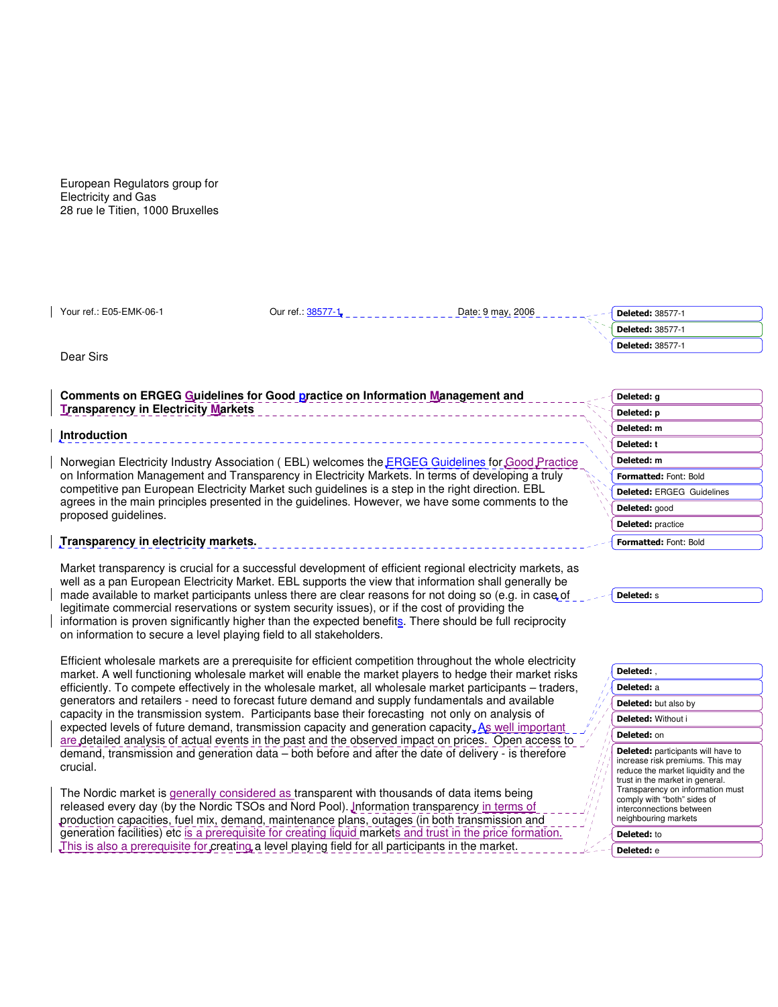European Regulators group for Electricity and Gas 28 rue le Titien, 1000 Bruxelles

Your ref.: E05-EMK-06-1 Curref.: 38577-1 Date: 9 may, 2006

Dear Sirs

# **Comments on ERGEG Guidelines for Good practice on Information Management and Transparency in Electricity Markets**

### **Introduction**

Norwegian Electricity Industry Association (EBL) welcomes the **ERGEG Guidelines for Good Practice** on Information Management and Transparency in Electricity Markets. In terms of developing a truly competitive pan European Electricity Market such guidelines is a step in the right direction. EBL agrees in the main principles presented in the guidelines. However, we have some comments to the proposed guidelines.

## **Transparency in electricity markets.**

Market transparency is crucial for a successful development of efficient regional electricity markets, as well as a pan European Electricity Market. EBL supports the view that information shall generally be made available to market participants unless there are clear reasons for not doing so (e.g. in case of legitimate commercial reservations or system security issues), or if the cost of providing the information is proven significantly higher than the expected benefits. There should be full reciprocity on information to secure a level playing field to all stakeholders.

Efficient wholesale markets are a prerequisite for efficient competition throughout the whole electricity market. A well functioning wholesale market will enable the market players to hedge their market risks efficiently. To compete effectively in the wholesale market, all wholesale market participants – traders, generators and retailers - need to forecast future demand and supply fundamentals and available capacity in the transmission system. Participants base their forecasting not only on analysis of expected levels of future demand, transmission capacity and generation capacity, As well important are detailed analysis of actual events in the past and the observed impact on prices. Open access to demand, transmission and generation data – both before and after the date of delivery - is therefore crucial.

The Nordic market is generally considered as transparent with thousands of data items being released every day (by the Nordic TSOs and Nord Pool). Information transparency in terms of production capacities, fuel mix, demand, maintenance plans, outages (in both transmission and generation facilities) etc is a prerequisite for creating liquid markets and trust in the price formation. This is also a prerequisite for creating a level playing field for all participants in the market.

| <b>Deleted: 38577-1</b> |
|-------------------------|
| Deleted: 38577-1        |
| Deleted: 38577-1        |
|                         |

| Deleted: g                       |
|----------------------------------|
| Deleted: p                       |
| Deleted: m                       |
| Deleted: t                       |
| Deleted: m                       |
| Formatted: Font: Bold            |
| <b>Deleted: ERGEG Guidelines</b> |
| Deleted: good                    |
| <b>Deleted:</b> practice         |
| Formatted: Font: Bold            |

Deleted: s

| Deleted:                                                                                                                                                                                                                                                                       |  |
|--------------------------------------------------------------------------------------------------------------------------------------------------------------------------------------------------------------------------------------------------------------------------------|--|
| Deleted: a                                                                                                                                                                                                                                                                     |  |
| Deleted: but also by                                                                                                                                                                                                                                                           |  |
| Deleted: Without i                                                                                                                                                                                                                                                             |  |
| Deleted: on                                                                                                                                                                                                                                                                    |  |
| <b>Deleted:</b> participants will have to<br>increase risk premiums. This may<br>reduce the market liquidity and the<br>trust in the market in general.<br>Transparency on information must<br>comply with "both" sides of<br>interconnections between<br>neighbouring markets |  |
| Deleted: to                                                                                                                                                                                                                                                                    |  |

Deleted: e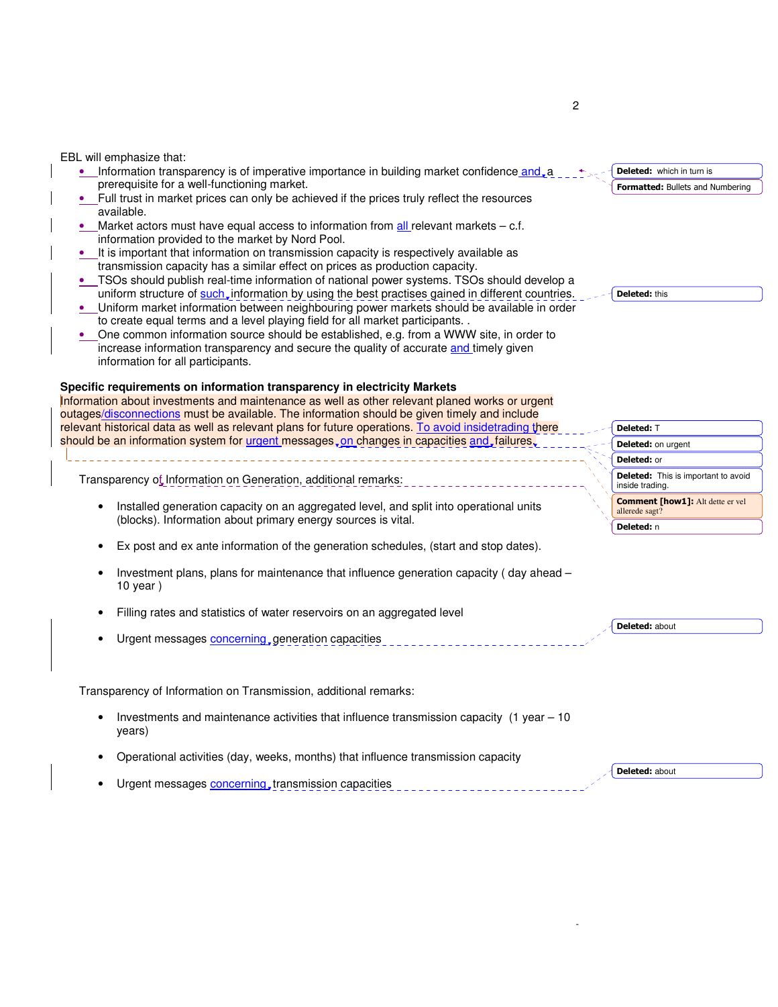EBL will emphasize that:

- Information transparency is of imperative importance in building market confidence and, a prerequisite for a well-functioning market.
- Full trust in market prices can only be achieved if the prices truly reflect the resources available.
- Market actors must have equal access to information from all relevant markets  $c.f.$ information provided to the market by Nord Pool.
- It is important that information on transmission capacity is respectively available as transmission capacity has a similar effect on prices as production capacity.
- TSOs should publish real-time information of national power systems. TSOs should develop a uniform structure of such, information by using the best practises gained in different countries.
- Uniform market information between neighbouring power markets should be available in order to create equal terms and a level playing field for all market participants. .
- One common information source should be established, e.g. from a WWW site, in order to increase information transparency and secure the quality of accurate and timely given information for all participants.

#### **Specific requirements on information transparency in electricity Markets**

Information about investments and maintenance as well as other relevant planed works or urgent outages/disconnections must be available. The information should be given timely and include relevant historical data as well as relevant plans for future operations. To avoid insidetrading there should be an information system for urgent messages, on changes in capacities and, failures,

Transparency of Information on Generation, additional remarks:

- Installed generation capacity on an aggregated level, and split into operational units (blocks). Information about primary energy sources is vital.
- Ex post and ex ante information of the generation schedules, (start and stop dates).
- Investment plans, plans for maintenance that influence generation capacity ( day ahead 10 year )
- Filling rates and statistics of water reservoirs on an aggregated level
- Urgent messages **concerning**, generation capacities

Transparency of Information on Transmission, additional remarks:

- Investments and maintenance activities that influence transmission capacity (1 year 10 years)
- Operational activities (day, weeks, months) that influence transmission capacity
- Urgent messages **concerning**, transmission capacities

Formatted: Bullets and Numbering Deleted: which in turn is

Deleted: this

Deleted: T Deleted: on urgent Deleted: or **Deleted:** This is important to avoid inside trading. Comment [how1]: Alt dette er vel allerede sagt? Deleted: n

Deleted: about

Deleted: about

-

2